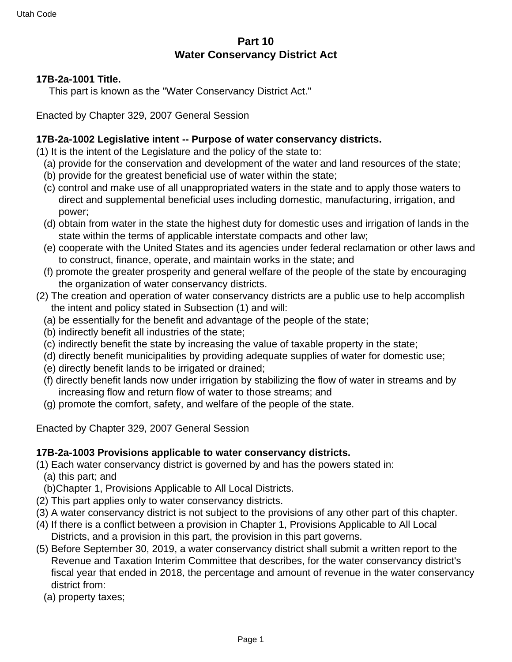# **Part 10 Water Conservancy District Act**

#### **17B-2a-1001 Title.**

This part is known as the "Water Conservancy District Act."

Enacted by Chapter 329, 2007 General Session

## **17B-2a-1002 Legislative intent -- Purpose of water conservancy districts.**

(1) It is the intent of the Legislature and the policy of the state to:

- (a) provide for the conservation and development of the water and land resources of the state;
- (b) provide for the greatest beneficial use of water within the state;
- (c) control and make use of all unappropriated waters in the state and to apply those waters to direct and supplemental beneficial uses including domestic, manufacturing, irrigation, and power;
- (d) obtain from water in the state the highest duty for domestic uses and irrigation of lands in the state within the terms of applicable interstate compacts and other law;
- (e) cooperate with the United States and its agencies under federal reclamation or other laws and to construct, finance, operate, and maintain works in the state; and
- (f) promote the greater prosperity and general welfare of the people of the state by encouraging the organization of water conservancy districts.
- (2) The creation and operation of water conservancy districts are a public use to help accomplish the intent and policy stated in Subsection (1) and will:
	- (a) be essentially for the benefit and advantage of the people of the state;
	- (b) indirectly benefit all industries of the state;
	- (c) indirectly benefit the state by increasing the value of taxable property in the state;
	- (d) directly benefit municipalities by providing adequate supplies of water for domestic use;
	- (e) directly benefit lands to be irrigated or drained;
	- (f) directly benefit lands now under irrigation by stabilizing the flow of water in streams and by increasing flow and return flow of water to those streams; and
	- (g) promote the comfort, safety, and welfare of the people of the state.

Enacted by Chapter 329, 2007 General Session

### **17B-2a-1003 Provisions applicable to water conservancy districts.**

(1) Each water conservancy district is governed by and has the powers stated in:

(a) this part; and

(b)Chapter 1, Provisions Applicable to All Local Districts.

- (2) This part applies only to water conservancy districts.
- (3) A water conservancy district is not subject to the provisions of any other part of this chapter.
- (4) If there is a conflict between a provision in Chapter 1, Provisions Applicable to All Local Districts, and a provision in this part, the provision in this part governs.
- (5) Before September 30, 2019, a water conservancy district shall submit a written report to the Revenue and Taxation Interim Committee that describes, for the water conservancy district's fiscal year that ended in 2018, the percentage and amount of revenue in the water conservancy district from:
	- (a) property taxes;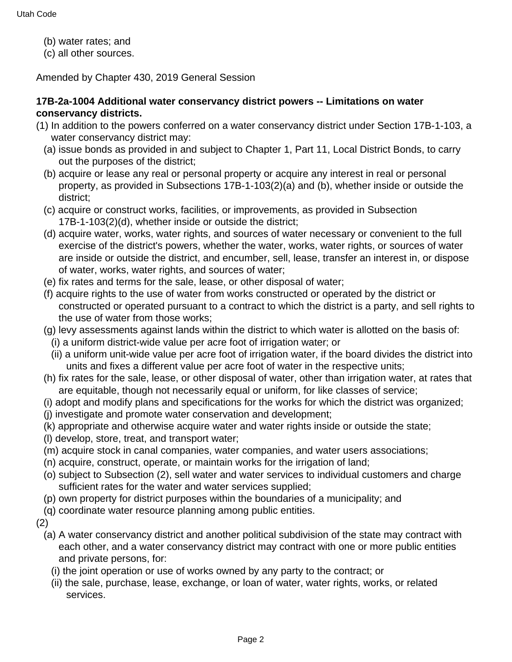- (b) water rates; and
- (c) all other sources.

Amended by Chapter 430, 2019 General Session

## **17B-2a-1004 Additional water conservancy district powers -- Limitations on water conservancy districts.**

- (1) In addition to the powers conferred on a water conservancy district under Section 17B-1-103, a water conservancy district may:
	- (a) issue bonds as provided in and subject to Chapter 1, Part 11, Local District Bonds, to carry out the purposes of the district;
	- (b) acquire or lease any real or personal property or acquire any interest in real or personal property, as provided in Subsections 17B-1-103(2)(a) and (b), whether inside or outside the district;
	- (c) acquire or construct works, facilities, or improvements, as provided in Subsection 17B-1-103(2)(d), whether inside or outside the district;
	- (d) acquire water, works, water rights, and sources of water necessary or convenient to the full exercise of the district's powers, whether the water, works, water rights, or sources of water are inside or outside the district, and encumber, sell, lease, transfer an interest in, or dispose of water, works, water rights, and sources of water;
	- (e) fix rates and terms for the sale, lease, or other disposal of water;
	- (f) acquire rights to the use of water from works constructed or operated by the district or constructed or operated pursuant to a contract to which the district is a party, and sell rights to the use of water from those works;
	- (g) levy assessments against lands within the district to which water is allotted on the basis of: (i) a uniform district-wide value per acre foot of irrigation water; or
	- (ii) a uniform unit-wide value per acre foot of irrigation water, if the board divides the district into units and fixes a different value per acre foot of water in the respective units;
	- (h) fix rates for the sale, lease, or other disposal of water, other than irrigation water, at rates that are equitable, though not necessarily equal or uniform, for like classes of service;
	- (i) adopt and modify plans and specifications for the works for which the district was organized;
	- (j) investigate and promote water conservation and development;
	- (k) appropriate and otherwise acquire water and water rights inside or outside the state;
	- (l) develop, store, treat, and transport water;
	- (m) acquire stock in canal companies, water companies, and water users associations;
	- (n) acquire, construct, operate, or maintain works for the irrigation of land;
	- (o) subject to Subsection (2), sell water and water services to individual customers and charge sufficient rates for the water and water services supplied;
	- (p) own property for district purposes within the boundaries of a municipality; and
	- (q) coordinate water resource planning among public entities.
- (2)
	- (a) A water conservancy district and another political subdivision of the state may contract with each other, and a water conservancy district may contract with one or more public entities and private persons, for:
		- (i) the joint operation or use of works owned by any party to the contract; or
		- (ii) the sale, purchase, lease, exchange, or loan of water, water rights, works, or related services.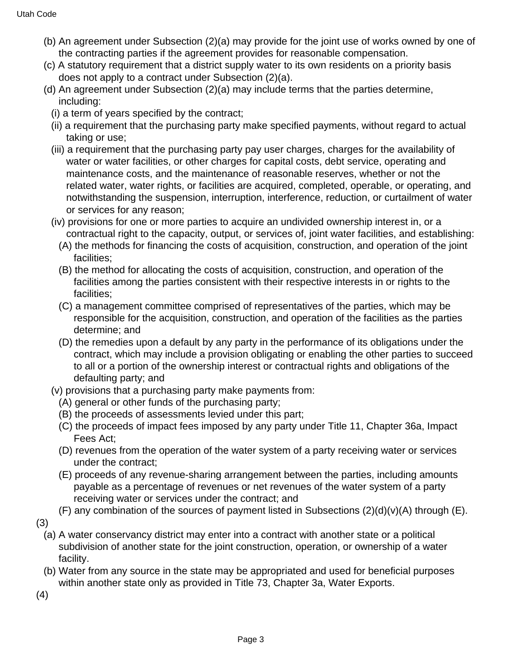- (b) An agreement under Subsection (2)(a) may provide for the joint use of works owned by one of the contracting parties if the agreement provides for reasonable compensation.
- (c) A statutory requirement that a district supply water to its own residents on a priority basis does not apply to a contract under Subsection (2)(a).
- (d) An agreement under Subsection (2)(a) may include terms that the parties determine, including:
	- (i) a term of years specified by the contract;
	- (ii) a requirement that the purchasing party make specified payments, without regard to actual taking or use;
	- (iii) a requirement that the purchasing party pay user charges, charges for the availability of water or water facilities, or other charges for capital costs, debt service, operating and maintenance costs, and the maintenance of reasonable reserves, whether or not the related water, water rights, or facilities are acquired, completed, operable, or operating, and notwithstanding the suspension, interruption, interference, reduction, or curtailment of water or services for any reason;
	- (iv) provisions for one or more parties to acquire an undivided ownership interest in, or a contractual right to the capacity, output, or services of, joint water facilities, and establishing:
		- (A) the methods for financing the costs of acquisition, construction, and operation of the joint facilities;
		- (B) the method for allocating the costs of acquisition, construction, and operation of the facilities among the parties consistent with their respective interests in or rights to the facilities;
		- (C) a management committee comprised of representatives of the parties, which may be responsible for the acquisition, construction, and operation of the facilities as the parties determine; and
		- (D) the remedies upon a default by any party in the performance of its obligations under the contract, which may include a provision obligating or enabling the other parties to succeed to all or a portion of the ownership interest or contractual rights and obligations of the defaulting party; and
	- (v) provisions that a purchasing party make payments from:
		- (A) general or other funds of the purchasing party;
		- (B) the proceeds of assessments levied under this part;
		- (C) the proceeds of impact fees imposed by any party under Title 11, Chapter 36a, Impact Fees Act;
		- (D) revenues from the operation of the water system of a party receiving water or services under the contract;
		- (E) proceeds of any revenue-sharing arrangement between the parties, including amounts payable as a percentage of revenues or net revenues of the water system of a party receiving water or services under the contract; and
- (F) any combination of the sources of payment listed in Subsections  $(2)(d)(v)(A)$  through (E).
- (3)
	- (a) A water conservancy district may enter into a contract with another state or a political subdivision of another state for the joint construction, operation, or ownership of a water facility.
	- (b) Water from any source in the state may be appropriated and used for beneficial purposes within another state only as provided in Title 73, Chapter 3a, Water Exports.
- (4)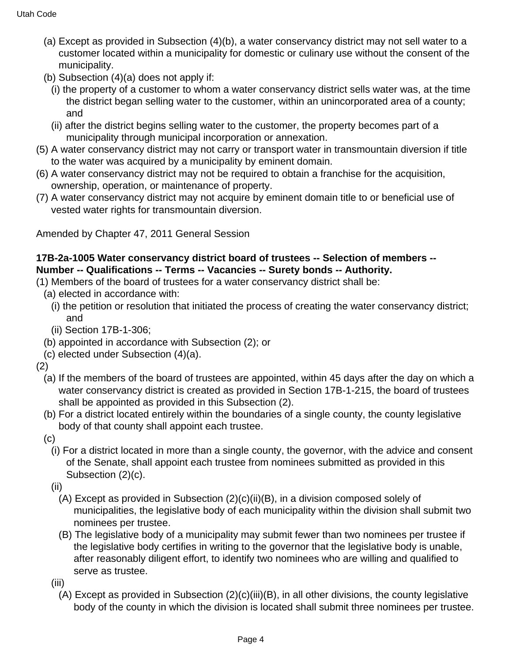- (a) Except as provided in Subsection (4)(b), a water conservancy district may not sell water to a customer located within a municipality for domestic or culinary use without the consent of the municipality.
- (b) Subsection (4)(a) does not apply if:
	- (i) the property of a customer to whom a water conservancy district sells water was, at the time the district began selling water to the customer, within an unincorporated area of a county; and
	- (ii) after the district begins selling water to the customer, the property becomes part of a municipality through municipal incorporation or annexation.
- (5) A water conservancy district may not carry or transport water in transmountain diversion if title to the water was acquired by a municipality by eminent domain.
- (6) A water conservancy district may not be required to obtain a franchise for the acquisition, ownership, operation, or maintenance of property.
- (7) A water conservancy district may not acquire by eminent domain title to or beneficial use of vested water rights for transmountain diversion.

Amended by Chapter 47, 2011 General Session

### **17B-2a-1005 Water conservancy district board of trustees -- Selection of members -- Number -- Qualifications -- Terms -- Vacancies -- Surety bonds -- Authority.**

- (1) Members of the board of trustees for a water conservancy district shall be:
	- (a) elected in accordance with:
		- (i) the petition or resolution that initiated the process of creating the water conservancy district; and
		- (ii) Section 17B-1-306;
	- (b) appointed in accordance with Subsection (2); or
	- (c) elected under Subsection (4)(a).
- (2)
	- (a) If the members of the board of trustees are appointed, within 45 days after the day on which a water conservancy district is created as provided in Section 17B-1-215, the board of trustees shall be appointed as provided in this Subsection (2).
	- (b) For a district located entirely within the boundaries of a single county, the county legislative body of that county shall appoint each trustee.
	- (c)
		- (i) For a district located in more than a single county, the governor, with the advice and consent of the Senate, shall appoint each trustee from nominees submitted as provided in this Subsection (2)(c).
		- (ii)
			- (A) Except as provided in Subsection  $(2)(c)(ii)(B)$ , in a division composed solely of municipalities, the legislative body of each municipality within the division shall submit two nominees per trustee.
			- (B) The legislative body of a municipality may submit fewer than two nominees per trustee if the legislative body certifies in writing to the governor that the legislative body is unable, after reasonably diligent effort, to identify two nominees who are willing and qualified to serve as trustee.
		- (iii)
			- (A) Except as provided in Subsection (2)(c)(iii)(B), in all other divisions, the county legislative body of the county in which the division is located shall submit three nominees per trustee.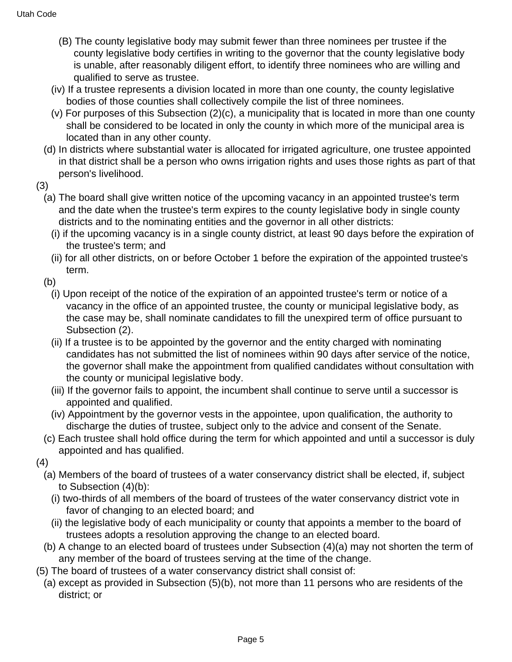- (B) The county legislative body may submit fewer than three nominees per trustee if the county legislative body certifies in writing to the governor that the county legislative body is unable, after reasonably diligent effort, to identify three nominees who are willing and qualified to serve as trustee.
- (iv) If a trustee represents a division located in more than one county, the county legislative bodies of those counties shall collectively compile the list of three nominees.
- (v) For purposes of this Subsection (2)(c), a municipality that is located in more than one county shall be considered to be located in only the county in which more of the municipal area is located than in any other county.
- (d) In districts where substantial water is allocated for irrigated agriculture, one trustee appointed in that district shall be a person who owns irrigation rights and uses those rights as part of that person's livelihood.
- (3)
	- (a) The board shall give written notice of the upcoming vacancy in an appointed trustee's term and the date when the trustee's term expires to the county legislative body in single county districts and to the nominating entities and the governor in all other districts:
		- (i) if the upcoming vacancy is in a single county district, at least 90 days before the expiration of the trustee's term; and
		- (ii) for all other districts, on or before October 1 before the expiration of the appointed trustee's term.
	- (b)
		- (i) Upon receipt of the notice of the expiration of an appointed trustee's term or notice of a vacancy in the office of an appointed trustee, the county or municipal legislative body, as the case may be, shall nominate candidates to fill the unexpired term of office pursuant to Subsection (2).
		- (ii) If a trustee is to be appointed by the governor and the entity charged with nominating candidates has not submitted the list of nominees within 90 days after service of the notice, the governor shall make the appointment from qualified candidates without consultation with the county or municipal legislative body.
		- (iii) If the governor fails to appoint, the incumbent shall continue to serve until a successor is appointed and qualified.
		- (iv) Appointment by the governor vests in the appointee, upon qualification, the authority to discharge the duties of trustee, subject only to the advice and consent of the Senate.
	- (c) Each trustee shall hold office during the term for which appointed and until a successor is duly appointed and has qualified.
- (4)
	- (a) Members of the board of trustees of a water conservancy district shall be elected, if, subject to Subsection (4)(b):
		- (i) two-thirds of all members of the board of trustees of the water conservancy district vote in favor of changing to an elected board; and
		- (ii) the legislative body of each municipality or county that appoints a member to the board of trustees adopts a resolution approving the change to an elected board.
	- (b) A change to an elected board of trustees under Subsection (4)(a) may not shorten the term of any member of the board of trustees serving at the time of the change.
- (5) The board of trustees of a water conservancy district shall consist of:
	- (a) except as provided in Subsection (5)(b), not more than 11 persons who are residents of the district; or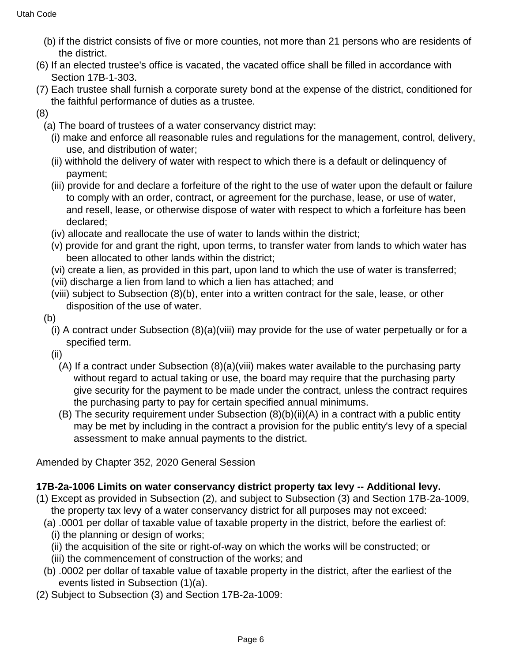- (b) if the district consists of five or more counties, not more than 21 persons who are residents of the district.
- (6) If an elected trustee's office is vacated, the vacated office shall be filled in accordance with Section 17B-1-303.
- (7) Each trustee shall furnish a corporate surety bond at the expense of the district, conditioned for the faithful performance of duties as a trustee.
- (8)
	- (a) The board of trustees of a water conservancy district may:
		- (i) make and enforce all reasonable rules and regulations for the management, control, delivery, use, and distribution of water;
		- (ii) withhold the delivery of water with respect to which there is a default or delinquency of payment;
		- (iii) provide for and declare a forfeiture of the right to the use of water upon the default or failure to comply with an order, contract, or agreement for the purchase, lease, or use of water, and resell, lease, or otherwise dispose of water with respect to which a forfeiture has been declared;
		- (iv) allocate and reallocate the use of water to lands within the district;
		- (v) provide for and grant the right, upon terms, to transfer water from lands to which water has been allocated to other lands within the district;
		- (vi) create a lien, as provided in this part, upon land to which the use of water is transferred;
		- (vii) discharge a lien from land to which a lien has attached; and
		- (viii) subject to Subsection (8)(b), enter into a written contract for the sale, lease, or other disposition of the use of water.
	- (b)
		- (i) A contract under Subsection (8)(a)(viii) may provide for the use of water perpetually or for a specified term.
		- (ii)
			- (A) If a contract under Subsection (8)(a)(viii) makes water available to the purchasing party without regard to actual taking or use, the board may require that the purchasing party give security for the payment to be made under the contract, unless the contract requires the purchasing party to pay for certain specified annual minimums.
			- (B) The security requirement under Subsection (8)(b)(ii)(A) in a contract with a public entity may be met by including in the contract a provision for the public entity's levy of a special assessment to make annual payments to the district.

Amended by Chapter 352, 2020 General Session

# **17B-2a-1006 Limits on water conservancy district property tax levy -- Additional levy.**

- (1) Except as provided in Subsection (2), and subject to Subsection (3) and Section 17B-2a-1009, the property tax levy of a water conservancy district for all purposes may not exceed:
	- (a) .0001 per dollar of taxable value of taxable property in the district, before the earliest of:
		- (i) the planning or design of works;
		- (ii) the acquisition of the site or right-of-way on which the works will be constructed; or
		- (iii) the commencement of construction of the works; and
	- (b) .0002 per dollar of taxable value of taxable property in the district, after the earliest of the events listed in Subsection (1)(a).
- (2) Subject to Subsection (3) and Section 17B-2a-1009: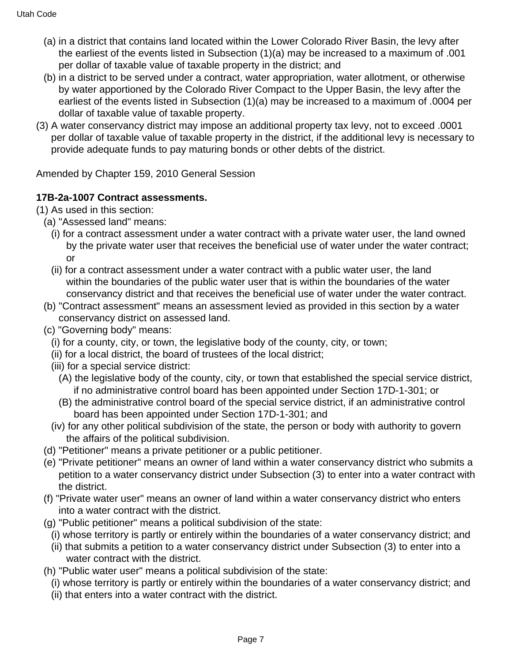- (a) in a district that contains land located within the Lower Colorado River Basin, the levy after the earliest of the events listed in Subsection (1)(a) may be increased to a maximum of .001 per dollar of taxable value of taxable property in the district; and
- (b) in a district to be served under a contract, water appropriation, water allotment, or otherwise by water apportioned by the Colorado River Compact to the Upper Basin, the levy after the earliest of the events listed in Subsection (1)(a) may be increased to a maximum of .0004 per dollar of taxable value of taxable property.
- (3) A water conservancy district may impose an additional property tax levy, not to exceed .0001 per dollar of taxable value of taxable property in the district, if the additional levy is necessary to provide adequate funds to pay maturing bonds or other debts of the district.

Amended by Chapter 159, 2010 General Session

## **17B-2a-1007 Contract assessments.**

- (1) As used in this section:
	- (a) "Assessed land" means:
		- (i) for a contract assessment under a water contract with a private water user, the land owned by the private water user that receives the beneficial use of water under the water contract; or
		- (ii) for a contract assessment under a water contract with a public water user, the land within the boundaries of the public water user that is within the boundaries of the water conservancy district and that receives the beneficial use of water under the water contract.
	- (b) "Contract assessment" means an assessment levied as provided in this section by a water conservancy district on assessed land.
	- (c) "Governing body" means:
		- (i) for a county, city, or town, the legislative body of the county, city, or town;
		- (ii) for a local district, the board of trustees of the local district;
		- (iii) for a special service district:
			- (A) the legislative body of the county, city, or town that established the special service district, if no administrative control board has been appointed under Section 17D-1-301; or
			- (B) the administrative control board of the special service district, if an administrative control board has been appointed under Section 17D-1-301; and
		- (iv) for any other political subdivision of the state, the person or body with authority to govern the affairs of the political subdivision.
	- (d) "Petitioner" means a private petitioner or a public petitioner.
	- (e) "Private petitioner" means an owner of land within a water conservancy district who submits a petition to a water conservancy district under Subsection (3) to enter into a water contract with the district.
	- (f) "Private water user" means an owner of land within a water conservancy district who enters into a water contract with the district.
	- (g) "Public petitioner" means a political subdivision of the state:
		- (i) whose territory is partly or entirely within the boundaries of a water conservancy district; and
		- (ii) that submits a petition to a water conservancy district under Subsection (3) to enter into a water contract with the district.
	- (h) "Public water user" means a political subdivision of the state:
		- (i) whose territory is partly or entirely within the boundaries of a water conservancy district; and
		- (ii) that enters into a water contract with the district.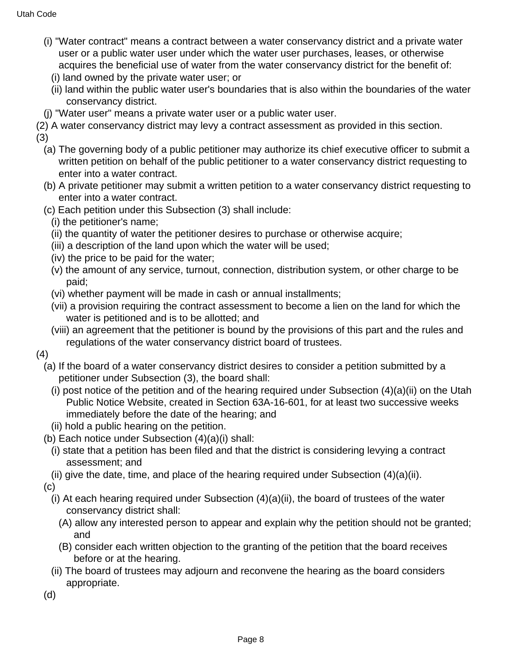- (i) "Water contract" means a contract between a water conservancy district and a private water user or a public water user under which the water user purchases, leases, or otherwise acquires the beneficial use of water from the water conservancy district for the benefit of:
	- (i) land owned by the private water user; or
	- (ii) land within the public water user's boundaries that is also within the boundaries of the water conservancy district.
- (j) "Water user" means a private water user or a public water user.
- (2) A water conservancy district may levy a contract assessment as provided in this section.
- (3)
	- (a) The governing body of a public petitioner may authorize its chief executive officer to submit a written petition on behalf of the public petitioner to a water conservancy district requesting to enter into a water contract.
	- (b) A private petitioner may submit a written petition to a water conservancy district requesting to enter into a water contract.
	- (c) Each petition under this Subsection (3) shall include:
		- (i) the petitioner's name;
		- (ii) the quantity of water the petitioner desires to purchase or otherwise acquire;
		- (iii) a description of the land upon which the water will be used;
		- (iv) the price to be paid for the water;
		- (v) the amount of any service, turnout, connection, distribution system, or other charge to be paid;
		- (vi) whether payment will be made in cash or annual installments;
		- (vii) a provision requiring the contract assessment to become a lien on the land for which the water is petitioned and is to be allotted; and
		- (viii) an agreement that the petitioner is bound by the provisions of this part and the rules and regulations of the water conservancy district board of trustees.
- (4)
	- (a) If the board of a water conservancy district desires to consider a petition submitted by a petitioner under Subsection (3), the board shall:
		- (i) post notice of the petition and of the hearing required under Subsection  $(4)(a)(ii)$  on the Utah Public Notice Website, created in Section 63A-16-601, for at least two successive weeks immediately before the date of the hearing; and
	- (ii) hold a public hearing on the petition.
	- (b) Each notice under Subsection (4)(a)(i) shall:
		- (i) state that a petition has been filed and that the district is considering levying a contract assessment; and
	- (ii) give the date, time, and place of the hearing required under Subsection  $(4)(a)(ii)$ .

(c)

- (i) At each hearing required under Subsection (4)(a)(ii), the board of trustees of the water conservancy district shall:
	- (A) allow any interested person to appear and explain why the petition should not be granted; and
	- (B) consider each written objection to the granting of the petition that the board receives before or at the hearing.
- (ii) The board of trustees may adjourn and reconvene the hearing as the board considers appropriate.
- (d)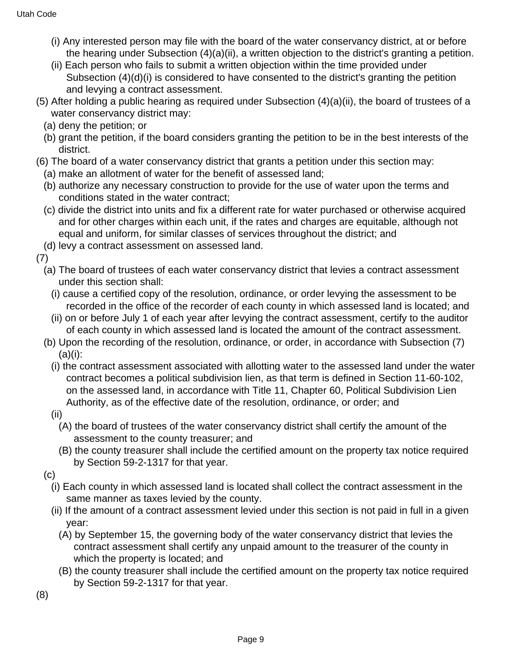- (i) Any interested person may file with the board of the water conservancy district, at or before the hearing under Subsection (4)(a)(ii), a written objection to the district's granting a petition.
- (ii) Each person who fails to submit a written objection within the time provided under Subsection (4)(d)(i) is considered to have consented to the district's granting the petition and levying a contract assessment.
- (5) After holding a public hearing as required under Subsection (4)(a)(ii), the board of trustees of a water conservancy district may:
	- (a) deny the petition; or
	- (b) grant the petition, if the board considers granting the petition to be in the best interests of the district.
- (6) The board of a water conservancy district that grants a petition under this section may:
	- (a) make an allotment of water for the benefit of assessed land;
	- (b) authorize any necessary construction to provide for the use of water upon the terms and conditions stated in the water contract;
	- (c) divide the district into units and fix a different rate for water purchased or otherwise acquired and for other charges within each unit, if the rates and charges are equitable, although not equal and uniform, for similar classes of services throughout the district; and
	- (d) levy a contract assessment on assessed land.

(7)

- (a) The board of trustees of each water conservancy district that levies a contract assessment under this section shall:
	- (i) cause a certified copy of the resolution, ordinance, or order levying the assessment to be recorded in the office of the recorder of each county in which assessed land is located; and
	- (ii) on or before July 1 of each year after levying the contract assessment, certify to the auditor of each county in which assessed land is located the amount of the contract assessment.
- (b) Upon the recording of the resolution, ordinance, or order, in accordance with Subsection (7)  $(a)(i)$ :
	- (i) the contract assessment associated with allotting water to the assessed land under the water contract becomes a political subdivision lien, as that term is defined in Section 11-60-102, on the assessed land, in accordance with Title 11, Chapter 60, Political Subdivision Lien Authority, as of the effective date of the resolution, ordinance, or order; and
	- (ii)
		- (A) the board of trustees of the water conservancy district shall certify the amount of the assessment to the county treasurer; and
		- (B) the county treasurer shall include the certified amount on the property tax notice required by Section 59-2-1317 for that year.
- (c)
	- (i) Each county in which assessed land is located shall collect the contract assessment in the same manner as taxes levied by the county.
	- (ii) If the amount of a contract assessment levied under this section is not paid in full in a given year:
		- (A) by September 15, the governing body of the water conservancy district that levies the contract assessment shall certify any unpaid amount to the treasurer of the county in which the property is located; and
		- (B) the county treasurer shall include the certified amount on the property tax notice required by Section 59-2-1317 for that year.

(8)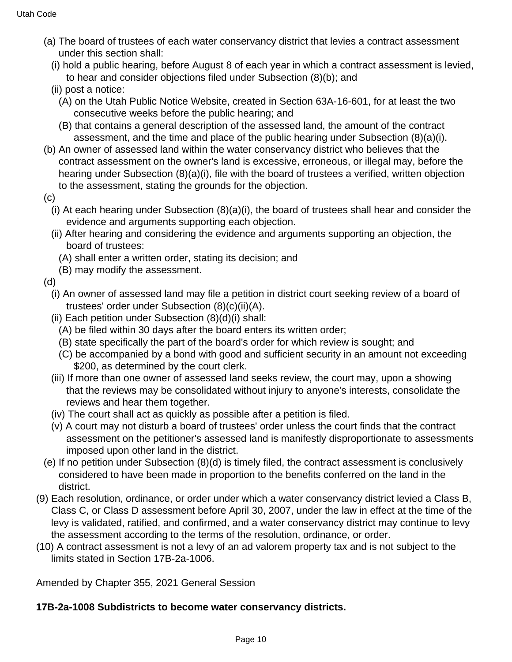- (a) The board of trustees of each water conservancy district that levies a contract assessment under this section shall:
	- (i) hold a public hearing, before August 8 of each year in which a contract assessment is levied, to hear and consider objections filed under Subsection (8)(b); and
	- (ii) post a notice:
		- (A) on the Utah Public Notice Website, created in Section 63A-16-601, for at least the two consecutive weeks before the public hearing; and
		- (B) that contains a general description of the assessed land, the amount of the contract assessment, and the time and place of the public hearing under Subsection (8)(a)(i).
- (b) An owner of assessed land within the water conservancy district who believes that the contract assessment on the owner's land is excessive, erroneous, or illegal may, before the hearing under Subsection (8)(a)(i), file with the board of trustees a verified, written objection to the assessment, stating the grounds for the objection.
- (c)
	- (i) At each hearing under Subsection (8)(a)(i), the board of trustees shall hear and consider the evidence and arguments supporting each objection.
	- (ii) After hearing and considering the evidence and arguments supporting an objection, the board of trustees:
		- (A) shall enter a written order, stating its decision; and
		- (B) may modify the assessment.
- (d)
	- (i) An owner of assessed land may file a petition in district court seeking review of a board of trustees' order under Subsection (8)(c)(ii)(A).
	- (ii) Each petition under Subsection (8)(d)(i) shall:
		- (A) be filed within 30 days after the board enters its written order;
		- (B) state specifically the part of the board's order for which review is sought; and
		- (C) be accompanied by a bond with good and sufficient security in an amount not exceeding \$200, as determined by the court clerk.
	- (iii) If more than one owner of assessed land seeks review, the court may, upon a showing that the reviews may be consolidated without injury to anyone's interests, consolidate the reviews and hear them together.
	- (iv) The court shall act as quickly as possible after a petition is filed.
	- (v) A court may not disturb a board of trustees' order unless the court finds that the contract assessment on the petitioner's assessed land is manifestly disproportionate to assessments imposed upon other land in the district.
- (e) If no petition under Subsection (8)(d) is timely filed, the contract assessment is conclusively considered to have been made in proportion to the benefits conferred on the land in the district.
- (9) Each resolution, ordinance, or order under which a water conservancy district levied a Class B, Class C, or Class D assessment before April 30, 2007, under the law in effect at the time of the levy is validated, ratified, and confirmed, and a water conservancy district may continue to levy the assessment according to the terms of the resolution, ordinance, or order.
- (10) A contract assessment is not a levy of an ad valorem property tax and is not subject to the limits stated in Section 17B-2a-1006.

Amended by Chapter 355, 2021 General Session

## **17B-2a-1008 Subdistricts to become water conservancy districts.**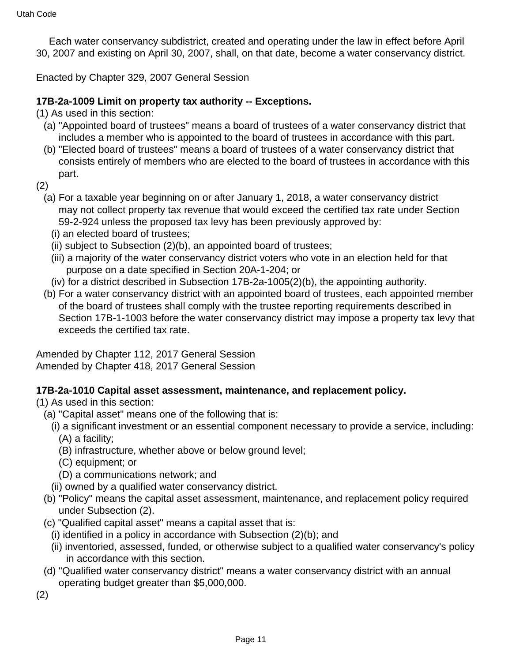Each water conservancy subdistrict, created and operating under the law in effect before April 30, 2007 and existing on April 30, 2007, shall, on that date, become a water conservancy district.

Enacted by Chapter 329, 2007 General Session

### **17B-2a-1009 Limit on property tax authority -- Exceptions.**

(1) As used in this section:

- (a) "Appointed board of trustees" means a board of trustees of a water conservancy district that includes a member who is appointed to the board of trustees in accordance with this part.
- (b) "Elected board of trustees" means a board of trustees of a water conservancy district that consists entirely of members who are elected to the board of trustees in accordance with this part.

(2)

- (a) For a taxable year beginning on or after January 1, 2018, a water conservancy district may not collect property tax revenue that would exceed the certified tax rate under Section 59-2-924 unless the proposed tax levy has been previously approved by:
	- (i) an elected board of trustees;
	- (ii) subject to Subsection (2)(b), an appointed board of trustees;
	- (iii) a majority of the water conservancy district voters who vote in an election held for that purpose on a date specified in Section 20A-1-204; or
	- (iv) for a district described in Subsection 17B-2a-1005(2)(b), the appointing authority.
- (b) For a water conservancy district with an appointed board of trustees, each appointed member of the board of trustees shall comply with the trustee reporting requirements described in Section 17B-1-1003 before the water conservancy district may impose a property tax levy that exceeds the certified tax rate.

Amended by Chapter 112, 2017 General Session Amended by Chapter 418, 2017 General Session

### **17B-2a-1010 Capital asset assessment, maintenance, and replacement policy.**

(1) As used in this section:

- (a) "Capital asset" means one of the following that is:
	- (i) a significant investment or an essential component necessary to provide a service, including: (A) a facility;
		- (B) infrastructure, whether above or below ground level;
		- (C) equipment; or
		- (D) a communications network; and
	- (ii) owned by a qualified water conservancy district.
- (b) "Policy" means the capital asset assessment, maintenance, and replacement policy required under Subsection (2).
- (c) "Qualified capital asset" means a capital asset that is:
- (i) identified in a policy in accordance with Subsection (2)(b); and
- (ii) inventoried, assessed, funded, or otherwise subject to a qualified water conservancy's policy in accordance with this section.
- (d) "Qualified water conservancy district" means a water conservancy district with an annual operating budget greater than \$5,000,000.
- (2)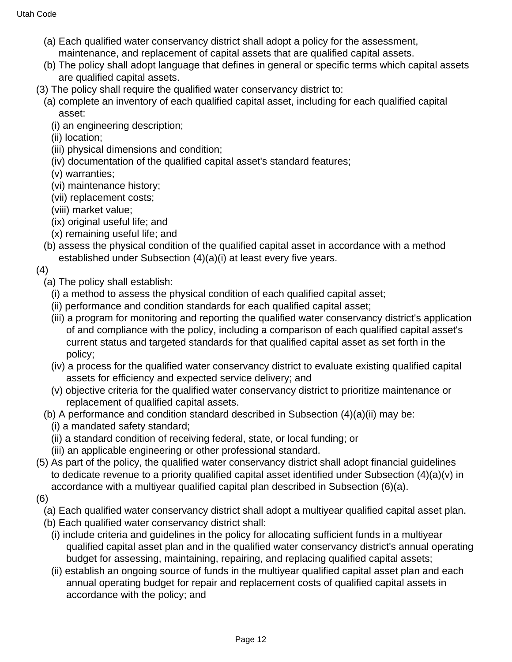- (a) Each qualified water conservancy district shall adopt a policy for the assessment, maintenance, and replacement of capital assets that are qualified capital assets.
- (b) The policy shall adopt language that defines in general or specific terms which capital assets are qualified capital assets.
- (3) The policy shall require the qualified water conservancy district to:
	- (a) complete an inventory of each qualified capital asset, including for each qualified capital asset:
		- (i) an engineering description;
		- (ii) location;
		- (iii) physical dimensions and condition;
		- (iv) documentation of the qualified capital asset's standard features;
		- (v) warranties;
		- (vi) maintenance history;
		- (vii) replacement costs;
		- (viii) market value;
		- (ix) original useful life; and
		- (x) remaining useful life; and
	- (b) assess the physical condition of the qualified capital asset in accordance with a method established under Subsection (4)(a)(i) at least every five years.
- (4)
	- (a) The policy shall establish:
		- (i) a method to assess the physical condition of each qualified capital asset;
		- (ii) performance and condition standards for each qualified capital asset;
		- (iii) a program for monitoring and reporting the qualified water conservancy district's application of and compliance with the policy, including a comparison of each qualified capital asset's current status and targeted standards for that qualified capital asset as set forth in the policy;
		- (iv) a process for the qualified water conservancy district to evaluate existing qualified capital assets for efficiency and expected service delivery; and
		- (v) objective criteria for the qualified water conservancy district to prioritize maintenance or replacement of qualified capital assets.
	- (b) A performance and condition standard described in Subsection (4)(a)(ii) may be:
		- (i) a mandated safety standard;
		- (ii) a standard condition of receiving federal, state, or local funding; or
		- (iii) an applicable engineering or other professional standard.
- (5) As part of the policy, the qualified water conservancy district shall adopt financial guidelines to dedicate revenue to a priority qualified capital asset identified under Subsection (4)(a)(v) in accordance with a multiyear qualified capital plan described in Subsection (6)(a).
- (6)
	- (a) Each qualified water conservancy district shall adopt a multiyear qualified capital asset plan.
	- (b) Each qualified water conservancy district shall:
		- (i) include criteria and guidelines in the policy for allocating sufficient funds in a multiyear qualified capital asset plan and in the qualified water conservancy district's annual operating budget for assessing, maintaining, repairing, and replacing qualified capital assets;
		- (ii) establish an ongoing source of funds in the multiyear qualified capital asset plan and each annual operating budget for repair and replacement costs of qualified capital assets in accordance with the policy; and